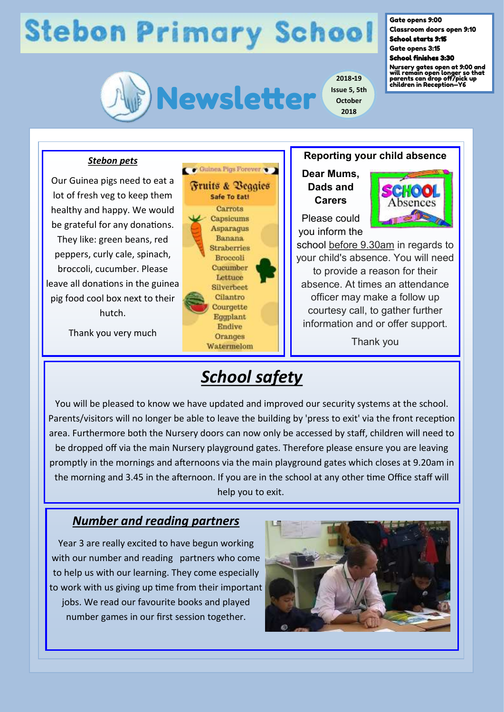# **Stebon Primary School**



**2018-19 Issue 5, 5th October 2018**

#### Gate opens 9:00

Classroom doors open 9:10 School starts 9:15

Gate opens 3:15

School finishes 3:30

Nursery gates open at 9:00 and will remain open longer so that parents can drop off/pick up children in Reception—Y6

### *Stebon pets*

Our Guinea pigs need to eat a lot of fresh veg to keep them healthy and happy. We would be grateful for any donations. They like: green beans, red peppers, curly cale, spinach, broccoli, cucumber. Please leave all donations in the guinea pig food cool box next to their hutch.

Thank you very much



### **Reporting your child absence**

**Dear Mums, Dads and Carers**

Please could you inform the



school before 9.30am in regards to your child's absence. You will need to provide a reason for their absence. At times an attendance officer may make a follow up courtesy call, to gather further information and or offer support.

Thank you

## *School safety*

You will be pleased to know we have updated and improved our security systems at the school. Parents/visitors will no longer be able to leave the building by 'press to exit' via the front reception area. Furthermore both the Nursery doors can now only be accessed by staff, children will need to be dropped off via the main Nursery playground gates. Therefore please ensure you are leaving promptly in the mornings and afternoons via the main playground gates which closes at 9.20am in the morning and 3.45 in the afternoon. If you are in the school at any other time Office staff will help you to exit.

## *Number and reading partners*

Year 3 are really excited to have begun working with our number and reading partners who come to help us with our learning. They come especially to work with us giving up time from their important jobs. We read our favourite books and played number games in our first session together.